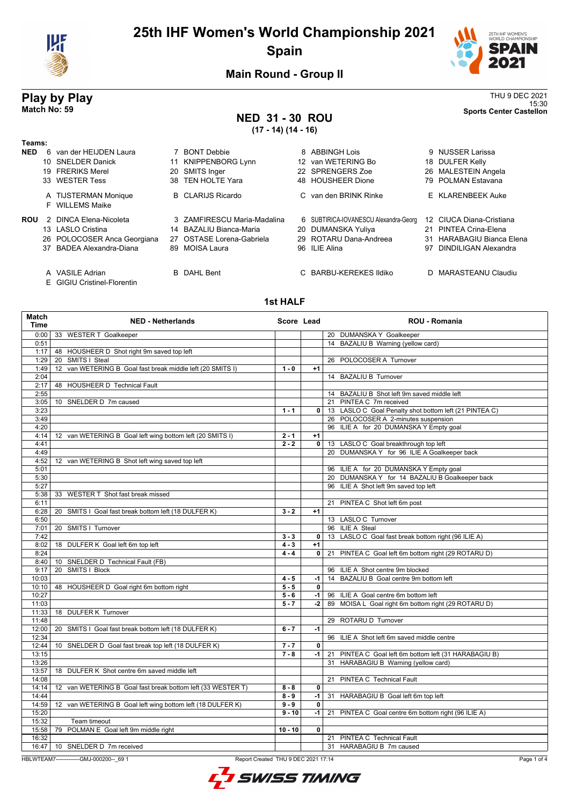

## **25th IHF Women's World Championship 2021 Spain**



15:30 **Match No: 59 Sports Center Castellon**

**Main Round - Group II**

# **Play by Play**<br>Match No: 59<br>Sports Center Castellon

## **NED 31 - 30 ROU**

**(17 - 14) (14 - 16)**

| Teams:     |                                         |    |                             |                                       |    |                               |
|------------|-----------------------------------------|----|-----------------------------|---------------------------------------|----|-------------------------------|
| <b>NED</b> | 6 van der HEIJDEN Laura                 |    | <b>BONT Debbie</b>          | 8 ABBINGH Lois                        |    | 9 NUSSER Larissa              |
|            | 10 SNELDER Danick                       | 11 | KNIPPENBORG Lynn            | 12 van WETERING Bo                    |    | 18 DULFER Kelly               |
|            | 19 FRERIKS Merel                        |    | 20 SMITS Inger              | 22 SPRENGERS Zoe                      |    | 26 MALESTEIN Angela           |
|            | 33 WESTER Tess                          |    | 38 TEN HOLTE Yara           | 48 HOUSHEER Dione                     |    | 79 POLMAN Estavana            |
|            | A TIJSTERMAN Monique<br>F WILLEMS Maike |    | <b>B</b> CLARIJS Ricardo    | C van den BRINK Rinke                 |    | E KLARENBEEK Auke             |
| ROU        | 2 DINCA Elena-Nicoleta                  |    | 3 ZAMFIRESCU Maria-Madalina | 6 SUBTIRICA-IOVANESCU Alexandra-Georg |    | 12 CIUCA Diana-Cristiana      |
|            | 13 LASLO Cristina                       |    | 14 BAZALIU Bianca-Maria     | 20 DUMANSKA Yuliya                    | 21 | PINTEA Crina-Elena            |
|            | 26 POLOCOSER Anca Georgiana             |    | 27 OSTASE Lorena-Gabriela   | 29 ROTARU Dana-Andreea                | 31 | <b>HARABAGIU Bianca Elena</b> |
|            | 37 BADEA Alexandra-Diana                |    | 89 MOISA Laura              | 96 ILIE Alina                         | 97 | DINDILIGAN Alexandra          |
|            | A VASILE Adrian                         |    | <b>B</b> DAHL Bent          | C BARBU-KEREKES Ildiko                |    | D MARASTEANU Claudiu          |

E GIGIU Cristinel-Florentin

#### **1st HALF**

| <b>Match</b><br><b>Time</b> | <b>NED - Netherlands</b>                                                     | Score Lead |                | <b>ROU - Romania</b>                                   |
|-----------------------------|------------------------------------------------------------------------------|------------|----------------|--------------------------------------------------------|
| 0:00                        | 33 WESTER T Goalkeeper                                                       |            |                | 20 DUMANSKA Y Goalkeeper                               |
| 0:51                        |                                                                              |            |                | 14 BAZALIU B Warning (yellow card)                     |
| 1:17                        | 48 HOUSHEER D Shot right 9m saved top left                                   |            |                |                                                        |
| 1:29                        | SMITS   Steal<br>20                                                          |            |                | 26 POLOCOSER A Turnover                                |
| 1:49                        | van WETERING B Goal fast break middle left (20 SMITS I)<br>$12 \overline{ }$ | $1 - 0$    | $+1$           |                                                        |
| 2:04                        |                                                                              |            |                | 14 BAZALIU B Turnover                                  |
| 2:17                        | 48 HOUSHEER D Technical Fault                                                |            |                |                                                        |
| 2:55                        |                                                                              |            |                | 14 BAZALIU B Shot left 9m saved middle left            |
| 3:05                        | 10 SNELDER D 7m caused                                                       |            |                | 21 PINTEA C 7m received                                |
| 3:23                        |                                                                              | $1 - 1$    | $\mathbf{0}$   | 13 LASLO C Goal Penalty shot bottom left (21 PINTEA C) |
| 3:49                        |                                                                              |            |                | 26 POLOCOSER A 2-minutes suspension                    |
| 4:20                        |                                                                              |            |                | 96 ILIE A for 20 DUMANSKA Y Empty goal                 |
| 4:14                        | 12 van WETERING B Goal left wing bottom left (20 SMITS I)                    | $2 - 1$    | $+1$           |                                                        |
| 4:41                        |                                                                              | $2 - 2$    | 0 <sup>1</sup> | 13 LASLO C Goal breakthrough top left                  |
| 4:49                        |                                                                              |            |                | 20 DUMANSKA Y for 96 ILIE A Goalkeeper back            |
| 4:52                        | 12 van WETERING B Shot left wing saved top left                              |            |                |                                                        |
| 5:01                        |                                                                              |            |                | 96 ILIE A for 20 DUMANSKA Y Empty goal                 |
| 5:30                        |                                                                              |            |                | 20 DUMANSKA Y for 14 BAZALIU B Goalkeeper back         |
| 5:27                        |                                                                              |            |                | 96 ILIE A Shot left 9m saved top left                  |
| 5:38                        | 33 WESTER T Shot fast break missed                                           |            |                |                                                        |
| 6:11                        |                                                                              |            |                | 21 PINTEA C Shot left 6m post                          |
| 6:28                        | 20 SMITS I Goal fast break bottom left (18 DULFER K)                         | $3 - 2$    | $+1$           |                                                        |
| 6:50                        |                                                                              |            |                | 13 LASLO C Turnover                                    |
| 7:01                        | SMITS   Turnover<br>20                                                       |            |                | 96 ILIE A Steal                                        |
| 7:42                        |                                                                              | $3 - 3$    | $\overline{0}$ | 13 LASLO C Goal fast break bottom right (96 ILIE A)    |
| 8:02                        | 18 DULFER K Goal left 6m top left                                            | $4 - 3$    | $+1$           |                                                        |
| 8:24                        |                                                                              | $4 - 4$    | $\mathbf{0}$   | 21 PINTEA C Goal left 6m bottom right (29 ROTARU D)    |
| 8:40                        | 10 SNELDER D Technical Fault (FB)                                            |            |                |                                                        |
| 9:17                        | 20 SMITS I Block                                                             |            |                | 96 ILIE A Shot centre 9m blocked                       |
| 10:03                       |                                                                              | $4 - 5$    | -1             | 14 BAZALIU B Goal centre 9m bottom left                |
| 10:10                       | 48 HOUSHEER D Goal right 6m bottom right                                     | $5 - 5$    | $\overline{0}$ |                                                        |
| 10:27                       |                                                                              | $5 - 6$    | $-1$           | 96 ILIE A Goal centre 6m bottom left                   |
| 11:03                       |                                                                              | $5 - 7$    | $-2$           | 89 MOISA L Goal right 6m bottom right (29 ROTARU D)    |
| 11:33                       | 18 DULFER K Turnover                                                         |            |                |                                                        |
| 11:48                       |                                                                              |            |                | 29 ROTARU D Turnover                                   |
| 12:00                       | 20 SMITS I Goal fast break bottom left (18 DULFER K)                         | $6 - 7$    | $-1$           |                                                        |
| 12:34                       |                                                                              |            |                | 96 ILIE A Shot left 6m saved middle centre             |
| 12:44                       | 10 SNELDER D Goal fast break top left (18 DULFER K)                          | $7 - 7$    | 0              |                                                        |
| 13:15                       |                                                                              | $7 - 8$    | $-1$           | 21 PINTEA C Goal left 6m bottom left (31 HARABAGIU B)  |
| 13:26                       |                                                                              |            |                | 31 HARABAGIU B Warning (yellow card)                   |
| 13:57                       | 18 DULFER K Shot centre 6m saved middle left                                 |            |                |                                                        |
| 14:08                       |                                                                              |            |                | 21 PINTEA C Technical Fault                            |
| 14:14                       | 12 van WETERING B Goal fast break bottom left (33 WESTER T)                  | $8 - 8$    | $\mathbf{0}$   |                                                        |
| 14:44                       |                                                                              | $8 - 9$    | $-1$           | 31 HARABAGIU B Goal left 6m top left                   |
| 14:59                       | 12 van WETERING B Goal left wing bottom left (18 DULFER K)                   | $9 - 9$    | $\mathbf 0$    |                                                        |
| 15:20                       |                                                                              | $9 - 10$   | -1             | 21 PINTEA C Goal centre 6m bottom right (96 ILIE A)    |
| 15:32                       | Team timeout                                                                 |            |                |                                                        |
| 15:58                       | 79 POLMAN E Goal left 9m middle right                                        | $10 - 10$  | $\mathbf 0$    |                                                        |
| 16:32                       |                                                                              |            |                | 21 PINTEA C Technical Fault                            |
| 16:47                       | 10 SNELDER D 7m received                                                     |            |                | 31 HARABAGIU B 7m caused                               |

HBLWTEAM7--------------GMJ-000200--\_69 1 Report Created THU 9 DEC 2021 17:14

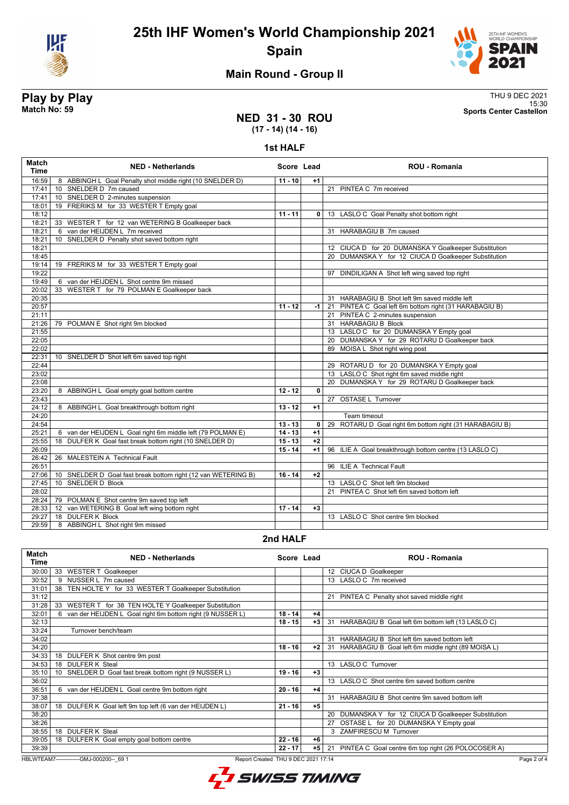

**25th IHF Women's World Championship 2021 Spain**



15:30 **Match No: 59 Sports Center Castellon**

#### **Main Round - Group II**

# **Play by Play**<br>Match No: 59<br>Sports Center Castellon

#### **NED 31 - 30 ROU (17 - 14) (14 - 16)**

**1st HALF**

| 16:59<br>8 ABBINGH L Goal Penalty shot middle right (10 SNELDER D)<br>$11 - 10$<br>$+1$<br>10 SNELDER D 7m caused<br>21 PINTEA C 7m received<br>17:41<br>10 SNELDER D 2-minutes suspension<br>17:41<br>19 FRERIKS M for 33 WESTER T Empty goal<br>18:01<br>18:12<br>$11 - 11$<br>13 LASLO C Goal Penalty shot bottom right<br>0<br>33 WESTER T for 12 van WETERING B Goalkeeper back<br>18:21 |  |
|-----------------------------------------------------------------------------------------------------------------------------------------------------------------------------------------------------------------------------------------------------------------------------------------------------------------------------------------------------------------------------------------------|--|
|                                                                                                                                                                                                                                                                                                                                                                                               |  |
|                                                                                                                                                                                                                                                                                                                                                                                               |  |
|                                                                                                                                                                                                                                                                                                                                                                                               |  |
|                                                                                                                                                                                                                                                                                                                                                                                               |  |
|                                                                                                                                                                                                                                                                                                                                                                                               |  |
|                                                                                                                                                                                                                                                                                                                                                                                               |  |
| 18:21<br>6 van der HEIJDEN L 7m received<br>31 HARABAGIU B 7m caused                                                                                                                                                                                                                                                                                                                          |  |
| 10 SNELDER D Penalty shot saved bottom right<br>18:21                                                                                                                                                                                                                                                                                                                                         |  |
| 18:21<br>12 CIUCA D for 20 DUMANSKA Y Goalkeeper Substitution                                                                                                                                                                                                                                                                                                                                 |  |
| 18:45<br>20 DUMANSKA Y for 12 CIUCA D Goalkeeper Substitution                                                                                                                                                                                                                                                                                                                                 |  |
| 19:14<br>19 FRERIKS M for 33 WESTER T Empty goal                                                                                                                                                                                                                                                                                                                                              |  |
| 19:22<br>97 DINDILIGAN A Shot left wing saved top right                                                                                                                                                                                                                                                                                                                                       |  |
| 19:49<br>6 van der HEIJDEN L Shot centre 9m missed                                                                                                                                                                                                                                                                                                                                            |  |
| 20:02<br>33 WESTER T for 79 POLMAN E Goalkeeper back                                                                                                                                                                                                                                                                                                                                          |  |
| 20:35<br>31 HARABAGIU B Shot left 9m saved middle left                                                                                                                                                                                                                                                                                                                                        |  |
| 20:57<br>21 PINTEA C Goal left 6m bottom right (31 HARABAGIU B)<br>$11 - 12$<br>-1 l                                                                                                                                                                                                                                                                                                          |  |
| 21 PINTEA C 2-minutes suspension<br>21:11                                                                                                                                                                                                                                                                                                                                                     |  |
| 31 HARABAGIU B Block<br>79 POLMAN E Shot right 9m blocked<br>21:26                                                                                                                                                                                                                                                                                                                            |  |
| 21:55<br>13 LASLO C for 20 DUMANSKA Y Empty goal                                                                                                                                                                                                                                                                                                                                              |  |
| 20 DUMANSKA Y for 29 ROTARU D Goalkeeper back<br>22:05                                                                                                                                                                                                                                                                                                                                        |  |
| 22:02<br>89 MOISA L Shot right wing post                                                                                                                                                                                                                                                                                                                                                      |  |
| 22:31<br>10 SNELDER D Shot left 6m saved top right                                                                                                                                                                                                                                                                                                                                            |  |
| 22:44<br>29 ROTARU D for 20 DUMANSKA Y Empty goal                                                                                                                                                                                                                                                                                                                                             |  |
| 13 LASLO C Shot right 6m saved middle right<br>23:02                                                                                                                                                                                                                                                                                                                                          |  |
| 23:08<br>20 DUMANSKA Y for 29 ROTARU D Goalkeeper back                                                                                                                                                                                                                                                                                                                                        |  |
| 23:20<br>8 ABBINGH L Goal empty goal bottom centre<br>$12 - 12$<br>$\mathbf{0}$                                                                                                                                                                                                                                                                                                               |  |
| 27 OSTASE L Turnover<br>23:43                                                                                                                                                                                                                                                                                                                                                                 |  |
| 24:12<br>8 ABBINGH L Goal breakthrough bottom right<br>$13 - 12$<br>$+1$                                                                                                                                                                                                                                                                                                                      |  |
| 24:20<br>Team timeout                                                                                                                                                                                                                                                                                                                                                                         |  |
| 24:54<br>29 ROTARU D Goal right 6m bottom right (31 HARABAGIU B)<br>$\mathbf{0}$<br>$13 - 13$                                                                                                                                                                                                                                                                                                 |  |
| $14 - 13$<br>6 van der HEIJDEN L Goal right 6m middle left (79 POLMAN E)<br>$+1$<br>25:21                                                                                                                                                                                                                                                                                                     |  |
| 18 DULFER K Goal fast break bottom right (10 SNELDER D)<br>$15 - 13$<br>$+2$<br>25:55                                                                                                                                                                                                                                                                                                         |  |
| 96 ILIE A Goal breakthrough bottom centre (13 LASLO C)<br>26:09<br>$15 - 14$<br>$+1$                                                                                                                                                                                                                                                                                                          |  |
| 26:42<br>26 MALESTEIN A Technical Fault                                                                                                                                                                                                                                                                                                                                                       |  |
| 26:51<br>96 ILIE A Technical Fault                                                                                                                                                                                                                                                                                                                                                            |  |
| 27:06<br>10 SNELDER D Goal fast break bottom right (12 van WETERING B)<br>$16 - 14$<br>$+2$                                                                                                                                                                                                                                                                                                   |  |
| <b>SNELDER D Block</b><br>27:45<br>13 LASLO C Shot left 9m blocked<br>10 <sup>°</sup>                                                                                                                                                                                                                                                                                                         |  |
| 28:02<br>21 PINTEA C Shot left 6m saved bottom left                                                                                                                                                                                                                                                                                                                                           |  |
| 79 POLMAN E Shot centre 9m saved top left<br>28:24                                                                                                                                                                                                                                                                                                                                            |  |
| 12 van WETERING B Goal left wing bottom right<br>$17 - 14$<br>28:33<br>$+3$                                                                                                                                                                                                                                                                                                                   |  |
| 18 DULFER K Block<br>13 LASLO C Shot centre 9m blocked<br>29:27                                                                                                                                                                                                                                                                                                                               |  |
| 29:59<br>8 ABBINGH L Shot right 9m missed                                                                                                                                                                                                                                                                                                                                                     |  |

#### **2nd HALF**

| <b>Match</b><br>Time | <b>NED - Netherlands</b>                                        | Score Lead |      | <b>ROU - Romania</b>                                    |
|----------------------|-----------------------------------------------------------------|------------|------|---------------------------------------------------------|
| 30:00                | 33 WESTER T Goalkeeper                                          |            |      | 12 CIUCA D Goalkeeper                                   |
| 30:52                | 9 NUSSER L 7m caused                                            |            |      | 13 LASLO C 7m received                                  |
| 31:01                | TEN HOLTE Y for 33 WESTER T Goalkeeper Substitution<br>38       |            |      |                                                         |
| 31:12                |                                                                 |            |      | 21 PINTEA C Penalty shot saved middle right             |
| 31:28                | WESTER T for 38 TEN HOLTE Y Goalkeeper Substitution<br>33       |            |      |                                                         |
| 32:01                | van der HEIJDEN L Goal right 6m bottom right (9 NUSSER L)<br>6. | $18 - 14$  | $+4$ |                                                         |
| 32:13                |                                                                 | $18 - 15$  | $+3$ | 31 HARABAGIU B Goal left 6m bottom left (13 LASLO C)    |
| 33:24                | Turnover bench/team                                             |            |      |                                                         |
| 34:02                |                                                                 |            |      | 31 HARABAGIU B Shot left 6m saved bottom left           |
| 34:20                |                                                                 | $18 - 16$  | $+2$ | 31 HARABAGIU B Goal left 6m middle right (89 MOISA L)   |
| 34:33                | DULFER K Shot centre 9m post<br>18                              |            |      |                                                         |
| 34:53                | <b>DULFER K Steal</b><br>18                                     |            |      | 13 LASLO C Turnover                                     |
| 35:10                | SNELDER D Goal fast break bottom right (9 NUSSER L)<br>10       | $19 - 16$  | $+3$ |                                                         |
| 36:02                |                                                                 |            |      | 13 LASLO C Shot centre 6m saved bottom centre           |
| 36:51                | 6 van der HEIJDEN L Goal centre 9m bottom right                 | $20 - 16$  | $+4$ |                                                         |
| 37:38                |                                                                 |            |      | 31 HARABAGIU B Shot centre 9m saved bottom left         |
| 38:07                | 18 DULFER K Goal left 9m top left (6 van der HEIJDEN L)         | $21 - 16$  | $+5$ |                                                         |
| 38:20                |                                                                 |            |      | DUMANSKA Y for 12 CIUCA D Goalkeeper Substitution<br>20 |
| 38:26                |                                                                 |            |      | OSTASE L for 20 DUMANSKA Y Empty goal<br>27             |
| 38:55                | <b>DULFER K Steal</b><br>18                                     |            |      | <b>ZAMFIRESCU M Turnover</b>                            |
| 39:05                | DULFER K Goal empty goal bottom centre<br>18                    | $22 - 16$  | $+6$ |                                                         |
| 39:39                |                                                                 | $22 - 17$  | $+5$ | 21 PINTEA C Goal centre 6m top right (26 POLOCOSER A)   |

HBLWTEAM7--------------GMJ-000200--\_69 1 Report Created THU 9 DEC 2021 17:14



Page 2 of 4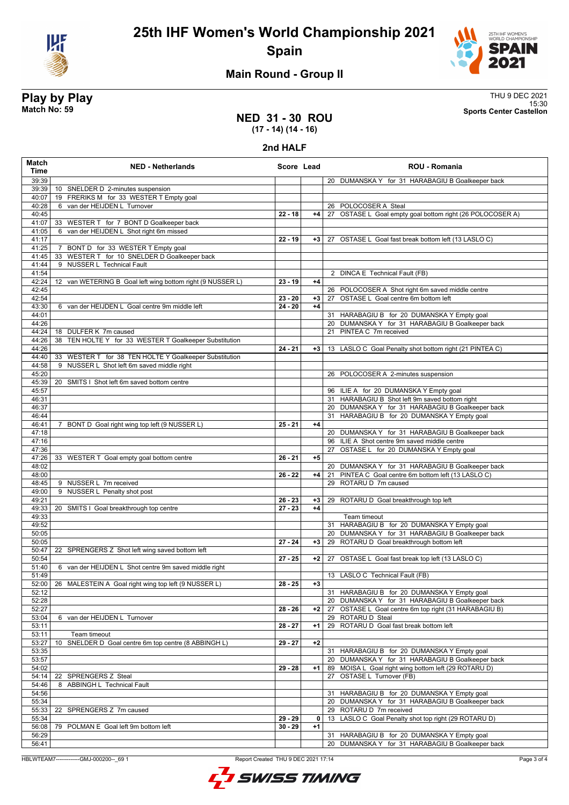



#### **Main Round - Group II**

**Play by Play**<br>Match No: 59<br>Sports Center Castellon 15:30 **Match No: 59 Sports Center Castellon**

#### **NED 31 - 30 ROU (17 - 14) (14 - 16)**

**2nd HALF**

| Match<br><b>Time</b> | <b>NED - Netherlands</b>                                                   | Score Lead |      | <b>ROU - Romania</b>                                                                                      |
|----------------------|----------------------------------------------------------------------------|------------|------|-----------------------------------------------------------------------------------------------------------|
| 39:39                |                                                                            |            |      | 20 DUMANSKA Y for 31 HARABAGIU B Goalkeeper back                                                          |
| 39:39                | 10 SNELDER D 2-minutes suspension                                          |            |      |                                                                                                           |
| 40:07                | 19 FRERIKS M for 33 WESTER T Empty goal                                    |            |      |                                                                                                           |
| 40:28                | 6 van der HEIJDEN L Turnover                                               |            |      | 26 POLOCOSER A Steal                                                                                      |
| 40:45                |                                                                            | $22 - 18$  | $+4$ | 27 OSTASE L Goal empty goal bottom right (26 POLOCOSER A)                                                 |
| 41:07                | 33 WESTER T for 7 BONT D Goalkeeper back                                   |            |      |                                                                                                           |
| 41:05                | 6 van der HEIJDEN L Shot right 6m missed                                   |            |      |                                                                                                           |
| 41:17                |                                                                            | $22 - 19$  | $+3$ | OSTASE L Goal fast break bottom left (13 LASLO C)<br>27                                                   |
| 41:25                | 7 BONT D for 33 WESTER T Empty goal                                        |            |      |                                                                                                           |
| 41:45<br>41:44       | 33 WESTER T for 10 SNELDER D Goalkeeper back<br>9 NUSSER L Technical Fault |            |      |                                                                                                           |
| 41:54                |                                                                            |            |      | 2 DINCA E Technical Fault (FB)                                                                            |
| 42:24                | 12 van WETERING B Goal left wing bottom right (9 NUSSER L)                 | $23 - 19$  | $+4$ |                                                                                                           |
| 42:45                |                                                                            |            |      | 26 POLOCOSER A Shot right 6m saved middle centre                                                          |
| 42:54                |                                                                            | $23 - 20$  | $+3$ | 27 OSTASE L Goal centre 6m bottom left                                                                    |
| 43:30                | 6 van der HEIJDEN L Goal centre 9m middle left                             | $24 - 20$  | $+4$ |                                                                                                           |
| 44:01                |                                                                            |            |      | 31 HARABAGIU B for 20 DUMANSKA Y Empty goal                                                               |
| 44:26                |                                                                            |            |      | 20 DUMANSKA Y for 31 HARABAGIU B Goalkeeper back                                                          |
| 44:24                | 18 DULFER K 7m caused                                                      |            |      | 21 PINTEA C 7m received                                                                                   |
| 44:26<br>44:26       | 38 TEN HOLTE Y for 33 WESTER T Goalkeeper Substitution                     | $24 - 21$  |      | 13 LASLO C Goal Penalty shot bottom right (21 PINTEA C)                                                   |
| 44:40                | 33 WESTER T for 38 TEN HOLTE Y Goalkeeper Substitution                     |            | $+3$ |                                                                                                           |
| 44:58                | 9 NUSSER L Shot left 6m saved middle right                                 |            |      |                                                                                                           |
| 45:20                |                                                                            |            |      | 26 POLOCOSER A 2-minutes suspension                                                                       |
| 45:39                | 20 SMITS I Shot left 6m saved bottom centre                                |            |      |                                                                                                           |
| 45:57                |                                                                            |            |      | 96 ILIE A for 20 DUMANSKA Y Empty goal                                                                    |
| 46:31                |                                                                            |            |      | 31 HARABAGIU B Shot left 9m saved bottom right                                                            |
| 46:37                |                                                                            |            |      | 20 DUMANSKA Y for 31 HARABAGIU B Goalkeeper back                                                          |
| 46:44                |                                                                            |            |      | 31 HARABAGIU B for 20 DUMANSKA Y Empty goal                                                               |
| 46:41                | 7 BONT D Goal right wing top left (9 NUSSER L)                             | $25 - 21$  | $+4$ |                                                                                                           |
| 47:18<br>47:16       |                                                                            |            |      | 20 DUMANSKA Y for 31 HARABAGIU B Goalkeeper back<br>96 ILIE A Shot centre 9m saved middle centre          |
| 47:36                |                                                                            |            |      | 27 OSTASE L for 20 DUMANSKA Y Empty goal                                                                  |
| 47:26                | 33 WESTER T Goal empty goal bottom centre                                  | $26 - 21$  | $+5$ |                                                                                                           |
| 48:02                |                                                                            |            |      | 20 DUMANSKA Y for 31 HARABAGIU B Goalkeeper back                                                          |
| 48:00                |                                                                            | $26 - 22$  | +4   | 21 PINTEA C Goal centre 6m bottom left (13 LASLO C)                                                       |
| 48:45                | 9 NUSSER L 7m received                                                     |            |      | 29 ROTARU D 7m caused                                                                                     |
| 49:00                | 9 NUSSER L Penalty shot post                                               |            |      |                                                                                                           |
| 49:21                |                                                                            | $26 - 23$  | $+3$ | 29 ROTARU D Goal breakthrough top left                                                                    |
| 49:33<br>49:33       | 20 SMITS I Goal breakthrough top centre                                    | $27 - 23$  | $+4$ | Team timeout                                                                                              |
| 49:52                |                                                                            |            |      | 31 HARABAGIU B for 20 DUMANSKA Y Empty goal                                                               |
| 50:05                |                                                                            |            |      | 20 DUMANSKA Y for 31 HARABAGIU B Goalkeeper back                                                          |
| 50:05                |                                                                            | $27 - 24$  | $+3$ | 29 ROTARU D Goal breakthrough bottom left                                                                 |
| 50:47                | 22 SPRENGERS Z Shot left wing saved bottom left                            |            |      |                                                                                                           |
| 50:54                |                                                                            | $27 - 25$  | $+2$ | 27 OSTASE L Goal fast break top left (13 LASLO C)                                                         |
| 51:40                | 6 van der HEIJDEN L Shot centre 9m saved middle right                      |            |      |                                                                                                           |
| 51:49                |                                                                            |            |      | 13 LASLO C Technical Fault (FB)                                                                           |
| 52:00                | 26 MALESTEIN A Goal right wing top left (9 NUSSER L)                       | $28 - 25$  | $+3$ |                                                                                                           |
| 52:12                |                                                                            |            |      | 31 HARABAGIU B for 20 DUMANSKA Y Empty goal                                                               |
| 52:28<br>52:27       |                                                                            | $28 - 26$  | $+2$ | 20 DUMANSKA Y for 31 HARABAGIU B Goalkeeper back<br>27 OSTASE L Goal centre 6m top right (31 HARABAGIU B) |
| 53:04                | 6 van der HEIJDEN L Turnover                                               |            |      | 29 ROTARU D Steal                                                                                         |
| 53:11                |                                                                            | $28 - 27$  | $+1$ | 29 ROTARU D Goal fast break bottom left                                                                   |
| 53:11                | Team timeout                                                               |            |      |                                                                                                           |
| 53:27                | SNELDER D Goal centre 6m top centre (8 ABBINGH L)<br>10                    | $29 - 27$  | $+2$ |                                                                                                           |
| 53:35                |                                                                            |            |      | 31 HARABAGIU B for 20 DUMANSKA Y Empty goal                                                               |
| 53:57                |                                                                            |            |      | 20 DUMANSKA Y for 31 HARABAGIU B Goalkeeper back                                                          |
| 54:02                |                                                                            | $29 - 28$  | $+1$ | 89 MOISA L Goal right wing bottom left (29 ROTARU D)                                                      |
| 54:14                | 22 SPRENGERS Z Steal                                                       |            |      | 27 OSTASE L Turnover (FB)                                                                                 |
| 54:46                | <b>ABBINGH L Technical Fault</b><br>8                                      |            |      |                                                                                                           |
| 54:56<br>55:34       |                                                                            |            |      | 31 HARABAGIU B for 20 DUMANSKA Y Empty goal<br>20 DUMANSKA Y for 31 HARABAGIU B Goalkeeper back           |
| 55:33                | SPRENGERS Z 7m caused<br>22                                                |            |      | 29 ROTARU D 7m received                                                                                   |
| 55:34                |                                                                            | 29 - 29    | 0    | 13 LASLO C Goal Penalty shot top right (29 ROTARU D)                                                      |
| 56:08                | 79 POLMAN E Goal left 9m bottom left                                       | $30 - 29$  | $+1$ |                                                                                                           |
| 56:29                |                                                                            |            |      | 31 HARABAGIU B for 20 DUMANSKA Y Empty goal                                                               |
| 56:41                |                                                                            |            |      | 20 DUMANSKA Y for 31 HARABAGIU B Goalkeeper back                                                          |